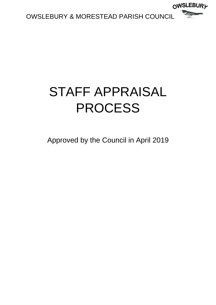

# STAFF APPRAISAL PROCESS

Approved by the Council in April 2019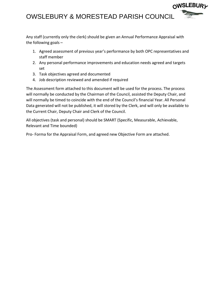Any staff (currently only the clerk) should be given an Annual Performance Appraisal with the following goals –

1. Agreed assessment of previous year's performance by both OPC representatives and staff member

∩WSLEBUR*y* 

- 2. Any personal performance improvements and education needs agreed and targets set
- 3. Task objectives agreed and documented
- 4. Job description reviewed and amended if required

The Assessment form attached to this document will be used for the process. The process will normally be conducted by the Chairman of the Council, assisted the Deputy Chair, and will normally be timed to coincide with the end of the Council's financial Year. All Personal Data generated will not be published, it will stored by the Clerk, and will only be available to the Current Chair, Deputy Chair and Clerk of the Council.

All objectives (task and personal) should be SMART (Specific, Measurable, Achievable, Relevant and Time bounded)

Pro- Forma for the Appraisal Form, and agreed new Objective Form are attached.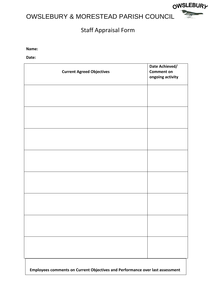

OWSLEBURY

**Name:**

**Date:**

| <b>Current Agreed Objectives</b> | Date Achieved/<br><b>Comment on</b><br>ongoing activity |
|----------------------------------|---------------------------------------------------------|
|                                  |                                                         |
|                                  |                                                         |
|                                  |                                                         |
|                                  |                                                         |
|                                  |                                                         |
|                                  |                                                         |
|                                  |                                                         |
|                                  |                                                         |
|                                  |                                                         |

**Employees comments on Current Objectives and Performance over last assessment**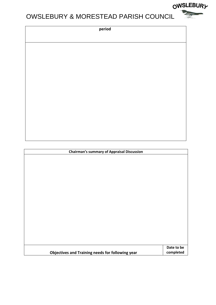| n. | erio | $\mathcal{L}^{\text{max}}_{\text{max}}$ and $\mathcal{L}^{\text{max}}_{\text{max}}$ and $\mathcal{L}^{\text{max}}_{\text{max}}$<br>ю |
|----|------|--------------------------------------------------------------------------------------------------------------------------------------|
|    |      |                                                                                                                                      |

| <b>Chairman's summary of Appraisal Discussion</b>       |            |  |  |
|---------------------------------------------------------|------------|--|--|
|                                                         |            |  |  |
|                                                         |            |  |  |
|                                                         |            |  |  |
|                                                         |            |  |  |
|                                                         |            |  |  |
|                                                         |            |  |  |
|                                                         |            |  |  |
|                                                         |            |  |  |
|                                                         |            |  |  |
|                                                         |            |  |  |
|                                                         |            |  |  |
|                                                         |            |  |  |
|                                                         |            |  |  |
|                                                         |            |  |  |
|                                                         | Date to be |  |  |
| <b>Objectives and Training needs for following year</b> | completed  |  |  |